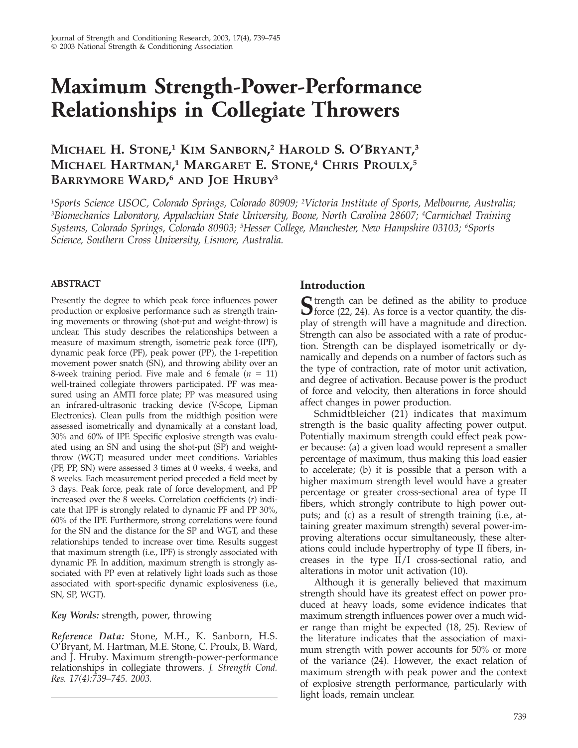# **Maximum Strength-Power-Performance Relationships in Collegiate Throwers**

## **MICHAEL H. STONE, <sup>1</sup> KIM SANBORN, <sup>2</sup> HAROLD S. O'BRYANT, 3 MICHAEL HARTMAN, <sup>1</sup> MARGARET E. STONE, <sup>4</sup> CHRIS PROULX, 5 BARRYMORE WARD, <sup>6</sup> AND JOE HRUBY3**

*1 Sports Science USOC, Colorado Springs, Colorado 80909; <sup>2</sup> Victoria Institute of Sports, Melbourne, Australia; 3 Biomechanics Laboratory, Appalachian State University, Boone, North Carolina 28607; <sup>4</sup> Carmichael Training Systems, Colorado Springs, Colorado 80903; <sup>5</sup> Hesser College, Manchester, New Hampshire 03103; <sup>6</sup> Sports Science, Southern Cross University, Lismore, Australia.*

### **ABSTRACT**

Presently the degree to which peak force influences power production or explosive performance such as strength training movements or throwing (shot-put and weight-throw) is unclear. This study describes the relationships between a measure of maximum strength, isometric peak force (IPF), dynamic peak force (PF), peak power (PP), the 1-repetition movement power snatch (SN), and throwing ability over an 8-week training period. Five male and 6 female  $(n = 11)$ well-trained collegiate throwers participated. PF was measured using an AMTI force plate; PP was measured using an infrared-ultrasonic tracking device (V-Scope, Lipman Electronics). Clean pulls from the midthigh position were assessed isometrically and dynamically at a constant load, 30% and 60% of IPF. Specific explosive strength was evaluated using an SN and using the shot-put (SP) and weightthrow (WGT) measured under meet conditions. Variables (PF, PP, SN) were assessed 3 times at 0 weeks, 4 weeks, and 8 weeks. Each measurement period preceded a field meet by 3 days. Peak force, peak rate of force development, and PP increased over the 8 weeks. Correlation coefficients (*r*) indicate that IPF is strongly related to dynamic PF and PP 30%, 60% of the IPF. Furthermore, strong correlations were found for the SN and the distance for the SP and WGT, and these relationships tended to increase over time. Results suggest that maximum strength (i.e., IPF) is strongly associated with dynamic PF. In addition, maximum strength is strongly associated with PP even at relatively light loads such as those associated with sport-specific dynamic explosiveness (i.e., SN, SP, WGT).

#### *Key Words:* strength, power, throwing

*Reference Data:* Stone, M.H., K. Sanborn, H.S. O'Bryant, M. Hartman, M.E. Stone, C. Proulx, B. Ward, and J. Hruby. Maximum strength-power-performance relationships in collegiate throwers. *J. Strength Cond. Res. 17(4):739–745. 2003.*

## **Introduction**

**S** trength can be defined as the ability to produce force (22, 24). As force is a vector quantity, the display of strength will have a magnitude and direction. Strength can also be associated with a rate of production. Strength can be displayed isometrically or dynamically and depends on a number of factors such as the type of contraction, rate of motor unit activation, and degree of activation. Because power is the product of force and velocity, then alterations in force should affect changes in power production.

Schmidtbleicher (21) indicates that maximum strength is the basic quality affecting power output. Potentially maximum strength could effect peak power because: (a) a given load would represent a smaller percentage of maximum, thus making this load easier to accelerate; (b) it is possible that a person with a higher maximum strength level would have a greater percentage or greater cross-sectional area of type II fibers, which strongly contribute to high power outputs; and (c) as a result of strength training (i.e., attaining greater maximum strength) several power-improving alterations occur simultaneously, these alterations could include hypertrophy of type II fibers, increases in the type II/I cross-sectional ratio, and alterations in motor unit activation (10).

Although it is generally believed that maximum strength should have its greatest effect on power produced at heavy loads, some evidence indicates that maximum strength influences power over a much wider range than might be expected (18, 25). Review of the literature indicates that the association of maximum strength with power accounts for 50% or more of the variance (24). However, the exact relation of maximum strength with peak power and the context of explosive strength performance, particularly with light loads, remain unclear.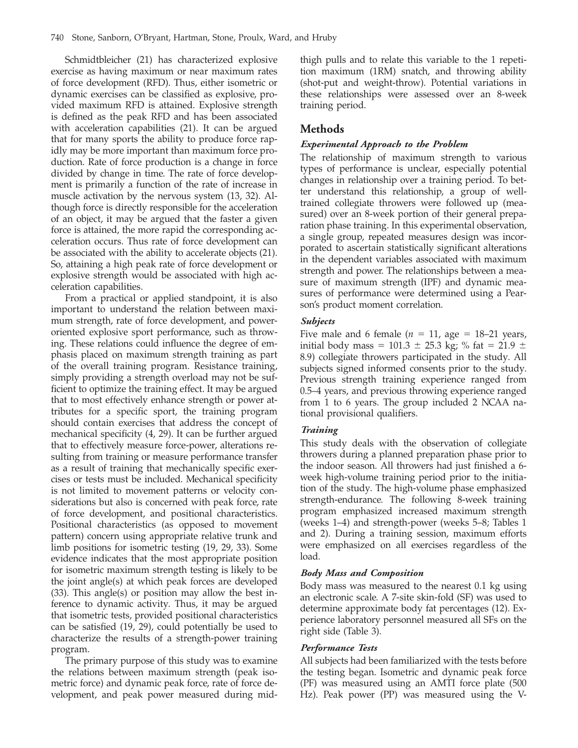Schmidtbleicher (21) has characterized explosive exercise as having maximum or near maximum rates of force development (RFD). Thus, either isometric or dynamic exercises can be classified as explosive, provided maximum RFD is attained. Explosive strength is defined as the peak RFD and has been associated with acceleration capabilities (21). It can be argued that for many sports the ability to produce force rapidly may be more important than maximum force production. Rate of force production is a change in force divided by change in time. The rate of force development is primarily a function of the rate of increase in muscle activation by the nervous system (13, 32). Although force is directly responsible for the acceleration of an object, it may be argued that the faster a given force is attained, the more rapid the corresponding acceleration occurs. Thus rate of force development can be associated with the ability to accelerate objects (21). So, attaining a high peak rate of force development or explosive strength would be associated with high acceleration capabilities.

From a practical or applied standpoint, it is also important to understand the relation between maximum strength, rate of force development, and poweroriented explosive sport performance, such as throwing. These relations could influence the degree of emphasis placed on maximum strength training as part of the overall training program. Resistance training, simply providing a strength overload may not be sufficient to optimize the training effect. It may be argued that to most effectively enhance strength or power attributes for a specific sport, the training program should contain exercises that address the concept of mechanical specificity (4, 29). It can be further argued that to effectively measure force-power, alterations resulting from training or measure performance transfer as a result of training that mechanically specific exercises or tests must be included. Mechanical specificity is not limited to movement patterns or velocity considerations but also is concerned with peak force, rate of force development, and positional characteristics. Positional characteristics (as opposed to movement pattern) concern using appropriate relative trunk and limb positions for isometric testing (19, 29, 33). Some evidence indicates that the most appropriate position for isometric maximum strength testing is likely to be the joint angle(s) at which peak forces are developed (33). This angle(s) or position may allow the best inference to dynamic activity. Thus, it may be argued that isometric tests, provided positional characteristics can be satisfied (19, 29), could potentially be used to characterize the results of a strength-power training program.

The primary purpose of this study was to examine the relations between maximum strength (peak isometric force) and dynamic peak force, rate of force development, and peak power measured during midthigh pulls and to relate this variable to the 1 repetition maximum (1RM) snatch, and throwing ability (shot-put and weight-throw). Potential variations in these relationships were assessed over an 8-week training period.

## **Methods**

#### *Experimental Approach to the Problem*

The relationship of maximum strength to various types of performance is unclear, especially potential changes in relationship over a training period. To better understand this relationship, a group of welltrained collegiate throwers were followed up (measured) over an 8-week portion of their general preparation phase training. In this experimental observation, a single group, repeated measures design was incorporated to ascertain statistically significant alterations in the dependent variables associated with maximum strength and power. The relationships between a measure of maximum strength (IPF) and dynamic measures of performance were determined using a Pearson's product moment correlation.

#### *Subjects*

Five male and 6 female ( $n = 11$ , age = 18–21 years, initial body mass = 101.3  $\pm$  25.3 kg; % fat = 21.9  $\pm$ 8.9) collegiate throwers participated in the study. All subjects signed informed consents prior to the study. Previous strength training experience ranged from 0.5–4 years, and previous throwing experience ranged from 1 to 6 years. The group included 2 NCAA national provisional qualifiers.

#### *Training*

This study deals with the observation of collegiate throwers during a planned preparation phase prior to the indoor season. All throwers had just finished a 6 week high-volume training period prior to the initiation of the study. The high-volume phase emphasized strength-endurance. The following 8-week training program emphasized increased maximum strength (weeks 1–4) and strength-power (weeks 5–8; Tables 1 and 2). During a training session, maximum efforts were emphasized on all exercises regardless of the load.

#### *Body Mass and Composition*

Body mass was measured to the nearest 0.1 kg using an electronic scale. A 7-site skin-fold (SF) was used to determine approximate body fat percentages (12). Experience laboratory personnel measured all SFs on the right side (Table 3).

#### *Performance Tests*

All subjects had been familiarized with the tests before the testing began. Isometric and dynamic peak force (PF) was measured using an AMTI force plate (500 Hz). Peak power (PP) was measured using the V-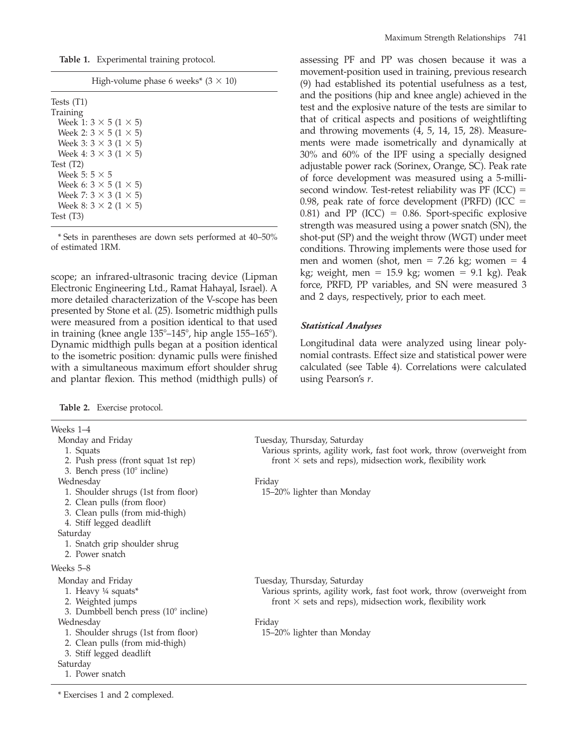**Table 1.** Experimental training protocol.

\* Sets in parentheses are down sets performed at 40–50% of estimated 1RM.

scope; an infrared-ultrasonic tracing device (Lipman Electronic Engineering Ltd., Ramat Hahayal, Israel). A more detailed characterization of the V-scope has been presented by Stone et al. (25). Isometric midthigh pulls were measured from a position identical to that used in training (knee angle  $135^{\circ}$ – $145^{\circ}$ , hip angle  $155-165^{\circ}$ ). Dynamic midthigh pulls began at a position identical to the isometric position: dynamic pulls were finished with a simultaneous maximum effort shoulder shrug and plantar flexion. This method (midthigh pulls) of

**Table 2.** Exercise protocol.

Weeks 1–4 Monday and Friday 1. Squats 2. Push press (front squat 1st rep) 3. Bench press  $(10^{\circ}$  incline) Tuesday, Thursday, Saturday Various sprints, agility work, fast foot work, throw (overweight from front  $\times$  sets and reps), midsection work, flexibility work Wednesday 1. Shoulder shrugs (1st from floor) 2. Clean pulls (from floor) 3. Clean pulls (from mid-thigh) 4. Stiff legged deadlift Friday 15–20% lighter than Monday Saturday 1. Snatch grip shoulder shrug 2. Power snatch Weeks 5–8 Monday and Friday 1. Heavy ¼ squats\* 2. Weighted jumps 3. Dumbbell bench press  $(10^{\circ}$  incline) Tuesday, Thursday, Saturday Various sprints, agility work, fast foot work, throw (overweight from front  $\times$  sets and reps), midsection work, flexibility work Wednesday 1. Shoulder shrugs (1st from floor) 2. Clean pulls (from mid-thigh) 3. Stiff legged deadlift Friday 15–20% lighter than Monday Saturday 1. Power snatch

\* Exercises 1 and 2 complexed.

assessing PF and PP was chosen because it was a movement-position used in training, previous research (9) had established its potential usefulness as a test, and the positions (hip and knee angle) achieved in the test and the explosive nature of the tests are similar to that of critical aspects and positions of weightlifting and throwing movements (4, 5, 14, 15, 28). Measurements were made isometrically and dynamically at 30% and 60% of the IPF using a specially designed adjustable power rack (Sorinex, Orange, SC). Peak rate of force development was measured using a 5-millisecond window. Test-retest reliability was  $PF (ICC) =$ 0.98, peak rate of force development (PRFD) (ICC  $=$ 0.81) and PP (ICC) = 0.86. Sport-specific explosive strength was measured using a power snatch (SN), the shot-put (SP) and the weight throw (WGT) under meet conditions. Throwing implements were those used for men and women (shot, men =  $7.26$  kg; women =  $4$ kg; weight, men =  $15.9$  kg; women =  $9.1$  kg). Peak force, PRFD, PP variables, and SN were measured 3 and 2 days, respectively, prior to each meet.

#### *Statistical Analyses*

Longitudinal data were analyzed using linear polynomial contrasts. Effect size and statistical power were calculated (see Table 4). Correlations were calculated using Pearson's *r*.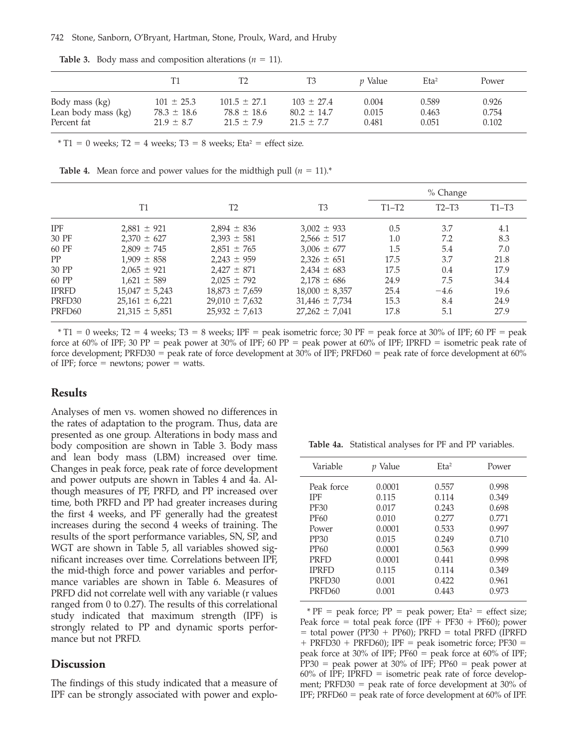|                     |                 | Τ2               | T3              | <i>v</i> Value | Eta <sup>2</sup> | Power |
|---------------------|-----------------|------------------|-----------------|----------------|------------------|-------|
| Body mass (kg)      | $101 \pm 25.3$  | $101.5 \pm 27.1$ | $103 \pm 27.4$  | 0.004          | 0.589            | 0.926 |
| Lean body mass (kg) | $78.3 \pm 18.6$ | $78.8 \pm 18.6$  | $80.2 \pm 14.7$ | 0.015          | 0.463            | 0.754 |
| Percent fat         | $21.9 \pm 8.7$  | $21.5 \pm 7.9$   | $21.5 \pm 7.7$  | 0.481          | 0.051            | 0.102 |

**Table 3.** Body mass and composition alterations ( $n = 11$ ).

 $*$  T1 = 0 weeks; T2 = 4 weeks; T3 = 8 weeks; Eta<sup>2</sup> = effect size.

**Table 4.** Mean force and power values for the midthigh pull  $(n = 11)^{*}$ 

|                    |                    |                    |                    | % Change |         |         |
|--------------------|--------------------|--------------------|--------------------|----------|---------|---------|
|                    | Т1                 | T <sub>2</sub>     | T <sub>3</sub>     | $T1-T2$  | $T2-T3$ | $T1-T3$ |
| <b>IPF</b>         | $2,881 \pm 921$    | $2,894 \pm 836$    | $3,002 \pm 933$    | 0.5      | 3.7     | 4.1     |
| 30 PF              | $2.370 \pm 627$    | $2.393 \pm 581$    | $2,566 \pm 517$    | 1.0      | 7.2     | 8.3     |
| 60 PF              | $2.809 \pm 745$    | $2.851 \pm 765$    | $3,006 \pm 677$    | 1.5      | 5.4     | 7.0     |
| PP                 | $1,909 \pm 858$    | $2.243 \pm 959$    | $2,326 \pm 651$    | 17.5     | 3.7     | 21.8    |
| 30 PP              | $2.065 \pm 921$    | $2.427 \pm 871$    | $2,434 \pm 683$    | 17.5     | 0.4     | 17.9    |
| 60 PP              | $1.621 \pm 589$    | $2.025 \pm 792$    | $2.178 \pm 686$    | 24.9     | 7.5     | 34.4    |
| <b>IPRFD</b>       | $15,047 \pm 5,243$ | $18,873 \pm 7,659$ | $18,000 \pm 8,357$ | 25.4     | $-4.6$  | 19.6    |
| PRFD30             | $25,161 \pm 6,221$ | $29,010 \pm 7,632$ | $31,446 \pm 7,734$ | 15.3     | 8.4     | 24.9    |
| PRFD <sub>60</sub> | $21,315 \pm 5,851$ | $25,932 \pm 7,613$ | $27,262 \pm 7,041$ | 17.8     | 5.1     | 27.9    |

 $*$  T1 = 0 weeks; T2 = 4 weeks; T3 = 8 weeks; IPF = peak isometric force; 30 PF = peak force at 30% of IPF; 60 PF = peak force at 60% of IPF; 30 PP = peak power at 30% of IPF; 60 PP = peak power at 60% of IPF; IPRFD = isometric peak rate of force development; PRFD30 = peak rate of force development at 30% of IPF; PRFD60 = peak rate of force development at  $60\%$ of IPF; force  $=$  newtons; power  $=$  watts.

#### **Results**

Analyses of men vs. women showed no differences in the rates of adaptation to the program. Thus, data are presented as one group. Alterations in body mass and body composition are shown in Table 3. Body mass and lean body mass (LBM) increased over time. Changes in peak force, peak rate of force development and power outputs are shown in Tables 4 and 4a. Although measures of PF, PRFD, and PP increased over time, both PRFD and PP had greater increases during the first 4 weeks, and PF generally had the greatest increases during the second 4 weeks of training. The results of the sport performance variables, SN, SP, and WGT are shown in Table 5, all variables showed significant increases over time. Correlations between IPF, the mid-thigh force and power variables and performance variables are shown in Table 6. Measures of PRFD did not correlate well with any variable (r values ranged from 0 to 0.27). The results of this correlational study indicated that maximum strength (IPF) is strongly related to PP and dynamic sports performance but not PRFD.

#### **Discussion**

The findings of this study indicated that a measure of IPF can be strongly associated with power and explo-

**Table 4a.** Statistical analyses for PF and PP variables.

| Variable                                                                                                                                                               | Value                                                                                               | $E$ ta <sup>2</sup>                                                                             | Power                                                                                           |
|------------------------------------------------------------------------------------------------------------------------------------------------------------------------|-----------------------------------------------------------------------------------------------------|-------------------------------------------------------------------------------------------------|-------------------------------------------------------------------------------------------------|
| Peak force<br><b>IPF</b><br><b>PF30</b><br><b>PF60</b><br>Power<br>PP30<br>PP <sub>60</sub><br><b>PRFD</b><br><b>IPRFD</b><br>PRFD <sub>30</sub><br>PRFD <sub>60</sub> | 0.0001<br>0.115<br>0.017<br>0.010<br>0.0001<br>0.015<br>0.0001<br>0.0001<br>0.115<br>0.001<br>0.001 | 0.557<br>0.114<br>0.243<br>0.277<br>0.533<br>0.249<br>0.563<br>0.441<br>0.114<br>0.422<br>0.443 | 0.998<br>0.349<br>0.698<br>0.771<br>0.997<br>0.710<br>0.999<br>0.998<br>0.349<br>0.961<br>0.973 |

\*  $PF$  = peak force;  $PP$  = peak power; Eta<sup>2</sup> = effect size; Peak force = total peak force (IPF + PF30 + PF60); power  $=$  total power (PP30 + PP60); PRFD  $=$  total PRFD (IPRFD  $+$  PRFD30 + PRFD60); IPF = peak isometric force; PF30 = peak force at 30% of IPF;  $PF60 = peak$  force at 60% of IPF;  $PP30 = peak power at 30% of IPF; PP60 = peak power at$  $60\%$  of IPF; IPRFD = isometric peak rate of force development; PRFD30 = peak rate of force development at  $30\%$  of IPF; PRFD60 = peak rate of force development at  $60\%$  of IPF.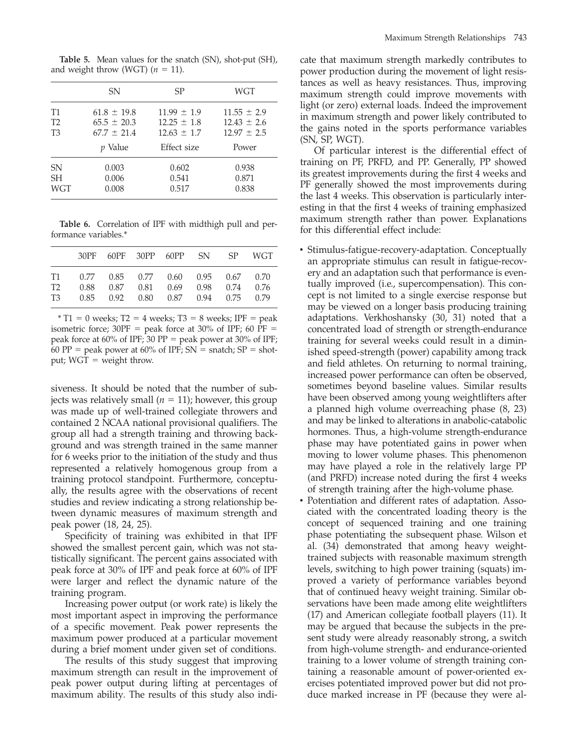|                             | SN                                 | <b>SP</b>                          | WGT                                |
|-----------------------------|------------------------------------|------------------------------------|------------------------------------|
| <b>T1</b><br>T <sub>2</sub> | $61.8 \pm 19.8$<br>$65.5 \pm 20.3$ | $11.99 \pm 1.9$<br>$12.25 \pm 1.8$ | $11.55 \pm 2.9$<br>$12.43 \pm 2.6$ |
| T <sub>3</sub>              | $67.7 + 21.4$                      | $12.63 \pm 1.7$                    | $12.97 \pm 2.5$                    |
|                             | <i>p</i> Value                     | Effect size                        | Power                              |
| SN<br><b>SH</b>             | 0.003<br>0.006                     | 0.602<br>0.541                     | 0.938<br>0.871                     |
| <b>WGT</b>                  | 0.008                              | 0.517                              | 0.838                              |

**Table 5.** Mean values for the snatch (SN), shot-put (SH),

and weight throw (WGT)  $(n = 11)$ .

**Table 6.** Correlation of IPF with midthigh pull and performance variables.\*

|                                        |                      |              |              | 30PF 60PF 30PP 60PP SN                             |                          | -SP | <b>WGT</b>           |
|----------------------------------------|----------------------|--------------|--------------|----------------------------------------------------|--------------------------|-----|----------------------|
| T1<br>T <sub>2</sub><br>T <sub>3</sub> | 0.77<br>0.88<br>0.85 | 0.87<br>0.92 | 0.81<br>0.80 | $0.85$ $0.77$ $0.60$ $0.95$ $0.67$<br>0.69<br>0.87 | 0.98 0.74<br>$0.94$ 0.75 |     | 0.70<br>0.76<br>0.79 |

 $*$  T1 = 0 weeks; T2 = 4 weeks; T3 = 8 weeks; IPF = peak isometric force;  $30PF$  = peak force at 30% of IPF; 60 PF = peak force at 60% of IPF; 30 PP = peak power at 30% of IPF; 60 PP = peak power at 60% of IPF;  $SN =$  snatch;  $SP =$  shotput;  $WGT = weight$  throw.

siveness. It should be noted that the number of subjects was relatively small  $(n = 11)$ ; however, this group was made up of well-trained collegiate throwers and contained 2 NCAA national provisional qualifiers. The group all had a strength training and throwing background and was strength trained in the same manner for 6 weeks prior to the initiation of the study and thus represented a relatively homogenous group from a training protocol standpoint. Furthermore, conceptually, the results agree with the observations of recent studies and review indicating a strong relationship between dynamic measures of maximum strength and peak power (18, 24, 25).

Specificity of training was exhibited in that IPF showed the smallest percent gain, which was not statistically significant. The percent gains associated with peak force at 30% of IPF and peak force at 60% of IPF were larger and reflect the dynamic nature of the training program.

Increasing power output (or work rate) is likely the most important aspect in improving the performance of a specific movement. Peak power represents the maximum power produced at a particular movement during a brief moment under given set of conditions.

The results of this study suggest that improving maximum strength can result in the improvement of peak power output during lifting at percentages of maximum ability. The results of this study also indicate that maximum strength markedly contributes to power production during the movement of light resistances as well as heavy resistances. Thus, improving maximum strength could improve movements with light (or zero) external loads. Indeed the improvement in maximum strength and power likely contributed to the gains noted in the sports performance variables (SN, SP, WGT).

Of particular interest is the differential effect of training on PF, PRFD, and PP. Generally, PP showed its greatest improvements during the first 4 weeks and PF generally showed the most improvements during the last 4 weeks. This observation is particularly interesting in that the first 4 weeks of training emphasized maximum strength rather than power. Explanations for this differential effect include:

- Stimulus-fatigue-recovery-adaptation. Conceptually an appropriate stimulus can result in fatigue-recovery and an adaptation such that performance is eventually improved (i.e., supercompensation). This concept is not limited to a single exercise response but may be viewed on a longer basis producing training adaptations. Verkhoshansky (30, 31) noted that a concentrated load of strength or strength-endurance training for several weeks could result in a diminished speed-strength (power) capability among track and field athletes. On returning to normal training, increased power performance can often be observed, sometimes beyond baseline values. Similar results have been observed among young weightlifters after a planned high volume overreaching phase (8, 23) and may be linked to alterations in anabolic-catabolic hormones. Thus, a high-volume strength-endurance phase may have potentiated gains in power when moving to lower volume phases. This phenomenon may have played a role in the relatively large PP (and PRFD) increase noted during the first 4 weeks of strength training after the high-volume phase.
- Potentiation and different rates of adaptation. Associated with the concentrated loading theory is the concept of sequenced training and one training phase potentiating the subsequent phase. Wilson et al. (34) demonstrated that among heavy weighttrained subjects with reasonable maximum strength levels, switching to high power training (squats) improved a variety of performance variables beyond that of continued heavy weight training. Similar observations have been made among elite weightlifters (17) and American collegiate football players (11). It may be argued that because the subjects in the present study were already reasonably strong, a switch from high-volume strength- and endurance-oriented training to a lower volume of strength training containing a reasonable amount of power-oriented exercises potentiated improved power but did not produce marked increase in PF (because they were al-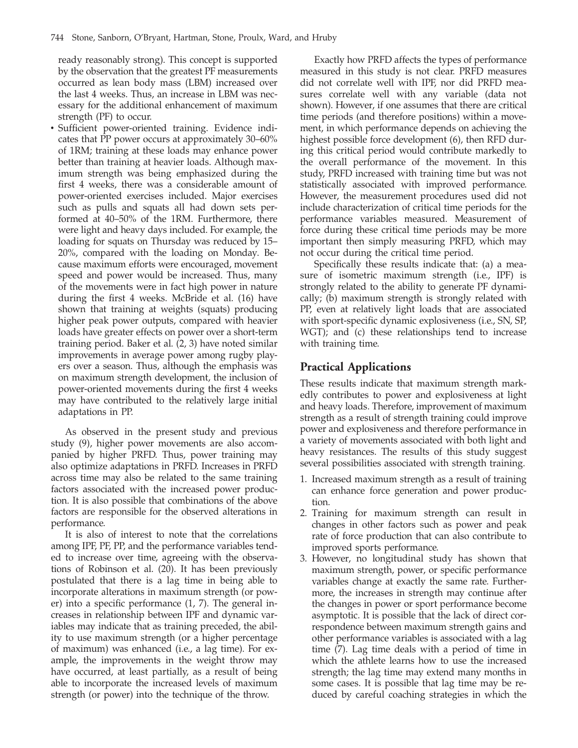ready reasonably strong). This concept is supported by the observation that the greatest PF measurements occurred as lean body mass (LBM) increased over the last 4 weeks. Thus, an increase in LBM was necessary for the additional enhancement of maximum strength (PF) to occur.

• Sufficient power-oriented training. Evidence indicates that PP power occurs at approximately 30–60% of 1RM; training at these loads may enhance power better than training at heavier loads. Although maximum strength was being emphasized during the first 4 weeks, there was a considerable amount of power-oriented exercises included. Major exercises such as pulls and squats all had down sets performed at 40–50% of the 1RM. Furthermore, there were light and heavy days included. For example, the loading for squats on Thursday was reduced by 15– 20%, compared with the loading on Monday. Because maximum efforts were encouraged, movement speed and power would be increased. Thus, many of the movements were in fact high power in nature during the first 4 weeks. McBride et al. (16) have shown that training at weights (squats) producing higher peak power outputs, compared with heavier loads have greater effects on power over a short-term training period. Baker et al. (2, 3) have noted similar improvements in average power among rugby players over a season. Thus, although the emphasis was on maximum strength development, the inclusion of power-oriented movements during the first 4 weeks may have contributed to the relatively large initial adaptations in PP.

As observed in the present study and previous study (9), higher power movements are also accompanied by higher PRFD. Thus, power training may also optimize adaptations in PRFD. Increases in PRFD across time may also be related to the same training factors associated with the increased power production. It is also possible that combinations of the above factors are responsible for the observed alterations in performance.

It is also of interest to note that the correlations among IPF, PF, PP, and the performance variables tended to increase over time, agreeing with the observations of Robinson et al. (20). It has been previously postulated that there is a lag time in being able to incorporate alterations in maximum strength (or power) into a specific performance (1, 7). The general increases in relationship between IPF and dynamic variables may indicate that as training preceded, the ability to use maximum strength (or a higher percentage of maximum) was enhanced (i.e., a lag time). For example, the improvements in the weight throw may have occurred, at least partially, as a result of being able to incorporate the increased levels of maximum strength (or power) into the technique of the throw.

Exactly how PRFD affects the types of performance measured in this study is not clear. PRFD measures did not correlate well with IPF, nor did PRFD measures correlate well with any variable (data not shown). However, if one assumes that there are critical time periods (and therefore positions) within a movement, in which performance depends on achieving the highest possible force development (6), then RFD during this critical period would contribute markedly to the overall performance of the movement. In this study, PRFD increased with training time but was not statistically associated with improved performance. However, the measurement procedures used did not include characterization of critical time periods for the performance variables measured. Measurement of force during these critical time periods may be more important then simply measuring PRFD, which may not occur during the critical time period.

Specifically these results indicate that: (a) a measure of isometric maximum strength (i.e., IPF) is strongly related to the ability to generate PF dynamically; (b) maximum strength is strongly related with PP, even at relatively light loads that are associated with sport-specific dynamic explosiveness (i.e., SN, SP, WGT); and (c) these relationships tend to increase with training time.

## **Practical Applications**

These results indicate that maximum strength markedly contributes to power and explosiveness at light and heavy loads. Therefore, improvement of maximum strength as a result of strength training could improve power and explosiveness and therefore performance in a variety of movements associated with both light and heavy resistances. The results of this study suggest several possibilities associated with strength training.

- 1. Increased maximum strength as a result of training can enhance force generation and power production.
- 2. Training for maximum strength can result in changes in other factors such as power and peak rate of force production that can also contribute to improved sports performance.
- 3. However, no longitudinal study has shown that maximum strength, power, or specific performance variables change at exactly the same rate. Furthermore, the increases in strength may continue after the changes in power or sport performance become asymptotic. It is possible that the lack of direct correspondence between maximum strength gains and other performance variables is associated with a lag time (7). Lag time deals with a period of time in which the athlete learns how to use the increased strength; the lag time may extend many months in some cases. It is possible that lag time may be reduced by careful coaching strategies in which the